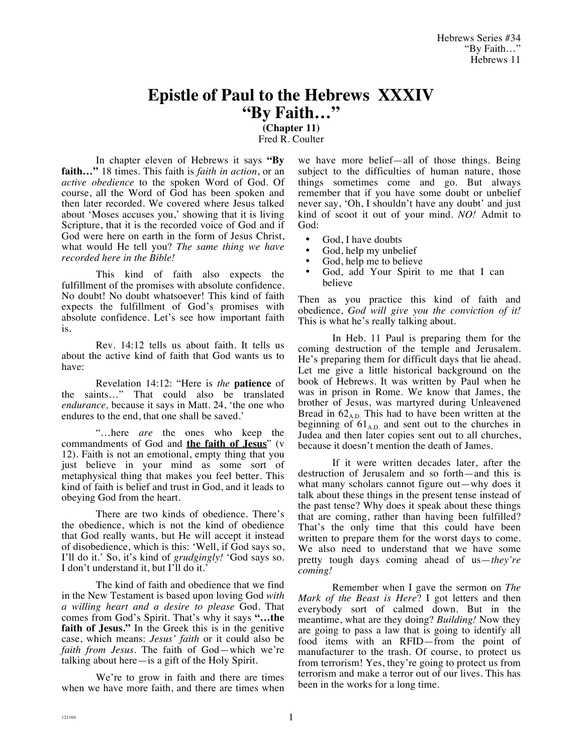## **Epistle of Paul to the Hebrews XXXIV "By Faith…"**

**(Chapter 11)** Fred R. Coulter

In chapter eleven of Hebrews it says **"By faith…"** 18 times. This faith is *faith in action*, or an *active obedience* to the spoken Word of God. Of course, all the Word of God has been spoken and then later recorded. We covered where Jesus talked about 'Moses accuses you,' showing that it is living Scripture, that it is the recorded voice of God and if God were here on earth in the form of Jesus Christ, what would He tell you? *The same thing we have recorded here in the Bible!*

This kind of faith also expects the fulfillment of the promises with absolute confidence. No doubt! No doubt whatsoever! This kind of faith expects the fulfillment of God's promises with absolute confidence. Let's see how important faith is.

Rev. 14:12 tells us about faith. It tells us about the active kind of faith that God wants us to have:

Revelation 14:12: "Here is *the* **patience** of the saints…" That could also be translated *endurance,* because it says in Matt. 24, 'the one who endures to the end, that one shall be saved.'

"…here *are* the ones who keep the commandments of God and **the faith of Jesus**" (v 12). Faith is not an emotional, empty thing that you just believe in your mind as some sort of metaphysical thing that makes you feel better. This kind of faith is belief and trust in God, and it leads to obeying God from the heart.

There are two kinds of obedience. There's the obedience, which is not the kind of obedience that God really wants, but He will accept it instead of disobedience, which is this: 'Well, if God says so, I'll do it.' So, it's kind of *grudgingly!* 'God says so. I don't understand it, but I'll do it.'

The kind of faith and obedience that we find in the New Testament is based upon loving God *with a willing heart and a desire to please* God. That comes from God's Spirit. That's why it says **"…the faith of Jesus."** In the Greek this is in the genitive case, which means: *Jesus' faith* or it could also be *faith from Jesus*. The faith of God—which we're talking about here—is a gift of the Holy Spirit.

We're to grow in faith and there are times when we have more faith, and there are times when we have more belief—all of those things. Being subject to the difficulties of human nature, those things sometimes come and go. But always remember that if you have some doubt or unbelief never say, 'Oh, I shouldn't have any doubt' and just kind of scoot it out of your mind. *NO!* Admit to God:

- God, I have doubts
- God, help my unbelief
- God, help me to believe<br>• God, add, Your Spirit
- God, add Your Spirit to me that I can believe

Then as you practice this kind of faith and obedience, *God will give you the conviction of it!* This is what he's really talking about.

In Heb. 11 Paul is preparing them for the coming destruction of the temple and Jerusalem. He's preparing them for difficult days that lie ahead. Let me give a little historical background on the book of Hebrews. It was written by Paul when he was in prison in Rome. We know that James, the brother of Jesus, was martyred during Unleavened Bread in  $62_{AD}$ . This had to have been written at the beginning of  $61_{AD}$  and sent out to the churches in Judea and then later copies sent out to all churches, because it doesn't mention the death of James.

If it were written decades later, after the destruction of Jerusalem and so forth—and this is what many scholars cannot figure out—why does it talk about these things in the present tense instead of the past tense? Why does it speak about these things that are coming, rather than having been fulfilled? That's the only time that this could have been written to prepare them for the worst days to come. We also need to understand that we have some pretty tough days coming ahead of us—*they're coming!*

Remember when I gave the sermon on *The Mark of the Beast is Here*? I got letters and then everybody sort of calmed down. But in the meantime, what are they doing? *Building!* Now they are going to pass a law that is going to identify all food items with an RFID—from the point of manufacturer to the trash. Of course, to protect us from terrorism! Yes, they're going to protect us from terrorism and make a terror out of our lives. This has been in the works for a long time.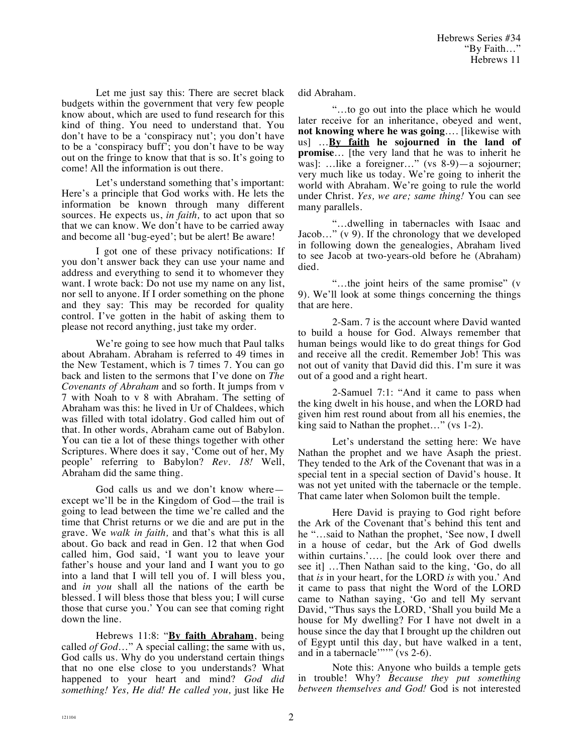Let me just say this: There are secret black budgets within the government that very few people know about, which are used to fund research for this kind of thing. You need to understand that. You don't have to be a 'conspiracy nut'; you don't have to be a 'conspiracy buff'; you don't have to be way out on the fringe to know that that is so. It's going to come! All the information is out there.

Let's understand something that's important: Here's a principle that God works with. He lets the information be known through many different sources. He expects us, *in faith,* to act upon that so that we can know. We don't have to be carried away and become all 'bug-eyed'; but be alert! Be aware!

I got one of these privacy notifications: If you don't answer back they can use your name and address and everything to send it to whomever they want. I wrote back: Do not use my name on any list, nor sell to anyone. If I order something on the phone and they say: This may be recorded for quality control. I've gotten in the habit of asking them to please not record anything, just take my order.

We're going to see how much that Paul talks about Abraham. Abraham is referred to 49 times in the New Testament, which is 7 times 7. You can go back and listen to the sermons that I've done on *The Covenants of Abraham* and so forth. It jumps from v 7 with Noah to v 8 with Abraham. The setting of Abraham was this: he lived in Ur of Chaldees, which was filled with total idolatry. God called him out of that. In other words, Abraham came out of Babylon. You can tie a lot of these things together with other Scriptures. Where does it say, 'Come out of her, My people' referring to Babylon? *Rev. 18!* Well, Abraham did the same thing.

God calls us and we don't know where except we'll be in the Kingdom of God—the trail is going to lead between the time we're called and the time that Christ returns or we die and are put in the grave. We *walk in faith,* and that's what this is all about. Go back and read in Gen. 12 that when God called him, God said, 'I want you to leave your father's house and your land and I want you to go into a land that I will tell you of. I will bless you, and *in you* shall all the nations of the earth be blessed. I will bless those that bless you; I will curse those that curse you.' You can see that coming right down the line.

Hebrews 11:8: "**By faith Abraham**, being called *of God*…" A special calling; the same with us, God calls us. Why do you understand certain things that no one else close to you understands? What happened to your heart and mind? *God did something! Yes, He did! He called you,* just like He did Abraham.

"…to go out into the place which he would later receive for an inheritance, obeyed and went, **not knowing where he was going**…. [likewise with us] …**By faith he sojourned in the land of promise**… [the very land that he was to inherit he was]: …like a foreigner…" (vs 8-9)—a sojourner; very much like us today. We're going to inherit the world with Abraham. We're going to rule the world under Christ. *Yes, we are; same thing!* You can see many parallels.

"…dwelling in tabernacles with Isaac and Jacob…" (v 9). If the chronology that we developed in following down the genealogies, Abraham lived to see Jacob at two-years-old before he (Abraham) died.

"…the joint heirs of the same promise" (v 9). We'll look at some things concerning the things that are here.

2-Sam. 7 is the account where David wanted to build a house for God. Always remember that human beings would like to do great things for God and receive all the credit. Remember Job! This was not out of vanity that David did this. I'm sure it was out of a good and a right heart.

2-Samuel 7:1: "And it came to pass when the king dwelt in his house, and when the LORD had given him rest round about from all his enemies, the king said to Nathan the prophet…" (vs 1-2).

Let's understand the setting here: We have Nathan the prophet and we have Asaph the priest. They tended to the Ark of the Covenant that was in a special tent in a special section of David's house. It was not yet united with the tabernacle or the temple. That came later when Solomon built the temple.

Here David is praying to God right before the Ark of the Covenant that's behind this tent and he "…said to Nathan the prophet, 'See now, I dwell in a house of cedar, but the Ark of God dwells within curtains.'…. [he could look over there and see it] …Then Nathan said to the king, 'Go, do all that *is* in your heart, for the LORD *is* with you.' And it came to pass that night the Word of the LORD came to Nathan saying, 'Go and tell My servant David, "Thus says the LORD, 'Shall you build Me a house for My dwelling? For I have not dwelt in a house since the day that I brought up the children out of Egypt until this day, but have walked in a tent, and in a tabernacle  $\cdots$  (vs 2-6).

Note this: Anyone who builds a temple gets in trouble! Why? *Because they put something between themselves and God!* God is not interested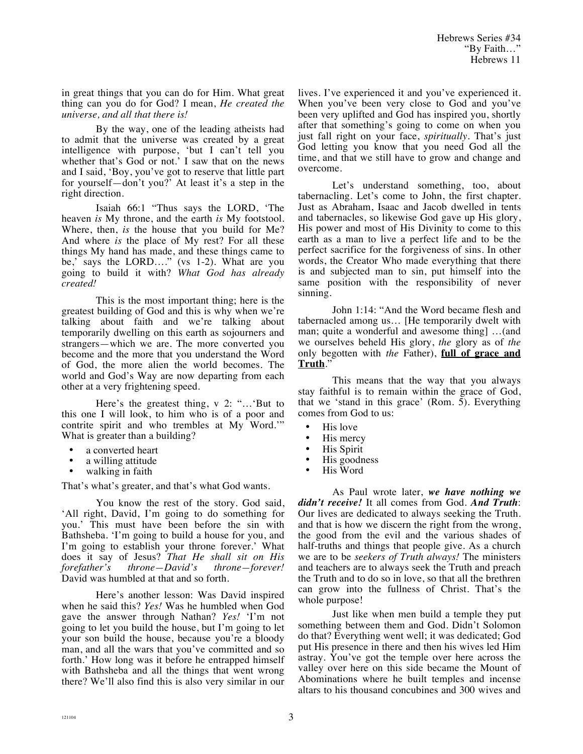Hebrews Series #34 "By Faith…" Hebrews 11

in great things that you can do for Him. What great thing can you do for God? I mean, *He created the universe, and all that there is!*

By the way, one of the leading atheists had to admit that the universe was created by a great intelligence with purpose, 'but I can't tell you whether that's God or not.' I saw that on the news and I said, 'Boy, you've got to reserve that little part for yourself—don't you?' At least it's a step in the right direction.

Isaiah 66:1 "Thus says the LORD, 'The heaven *is* My throne, and the earth *is* My footstool. Where, then, *is* the house that you build for Me? And where *is* the place of My rest? For all these things My hand has made, and these things came to be,' says the LORD...." (vs 1-2). What are you going to build it with? *What God has already created!*

This is the most important thing; here is the greatest building of God and this is why when we're talking about faith and we're talking about temporarily dwelling on this earth as sojourners and strangers—which we are. The more converted you become and the more that you understand the Word of God, the more alien the world becomes. The world and God's Way are now departing from each other at a very frightening speed.

Here's the greatest thing, v 2: "…'But to this one I will look, to him who is of a poor and contrite spirit and who trembles at My Word.'" What is greater than a building?

- a converted heart
- a willing attitude
- walking in faith

That's what's greater, and that's what God wants.

You know the rest of the story. God said, 'All right, David, I'm going to do something for you.' This must have been before the sin with Bathsheba. 'I'm going to build a house for you, and I'm going to establish your throne forever.' What does it say of Jesus? *That He shall sit on His forefather's throne—David's throne—forever!* David was humbled at that and so forth.

Here's another lesson: Was David inspired when he said this? *Yes!* Was he humbled when God gave the answer through Nathan? *Yes!* 'I'm not going to let you build the house, but I'm going to let your son build the house, because you're a bloody man, and all the wars that you've committed and so forth.' How long was it before he entrapped himself with Bathsheba and all the things that went wrong there? We'll also find this is also very similar in our lives. I've experienced it and you've experienced it. When you've been very close to God and you've been very uplifted and God has inspired you, shortly after that something's going to come on when you just fall right on your face, *spiritually*. That's just God letting you know that you need God all the time, and that we still have to grow and change and overcome.

Let's understand something, too, about tabernacling. Let's come to John, the first chapter. Just as Abraham, Isaac and Jacob dwelled in tents and tabernacles, so likewise God gave up His glory, His power and most of His Divinity to come to this earth as a man to live a perfect life and to be the perfect sacrifice for the forgiveness of sins. In other words, the Creator Who made everything that there is and subjected man to sin, put himself into the same position with the responsibility of never sinning.

John 1:14: "And the Word became flesh and tabernacled among us… [He temporarily dwelt with man; quite a wonderful and awesome thing] …(and we ourselves beheld His glory, *the* glory as of *the* only begotten with *the* Father), **full of grace and Truth**."

This means that the way that you always stay faithful is to remain within the grace of God, that we 'stand in this grace' (Rom. 5). Everything comes from God to us:

- His love<br>• His merc
- His mercy<br>• His Spirit
- His Spirit
- His goodness
- His Word

As Paul wrote later, *we have nothing we didn't receive!* It all comes from God. *And Truth*: Our lives are dedicated to always seeking the Truth. and that is how we discern the right from the wrong, the good from the evil and the various shades of half-truths and things that people give. As a church we are to be *seekers of Truth always!* The ministers and teachers are to always seek the Truth and preach the Truth and to do so in love, so that all the brethren can grow into the fullness of Christ. That's the whole purpose!

Just like when men build a temple they put something between them and God. Didn't Solomon do that? Everything went well; it was dedicated; God put His presence in there and then his wives led Him astray. You've got the temple over here across the valley over here on this side became the Mount of Abominations where he built temples and incense altars to his thousand concubines and 300 wives and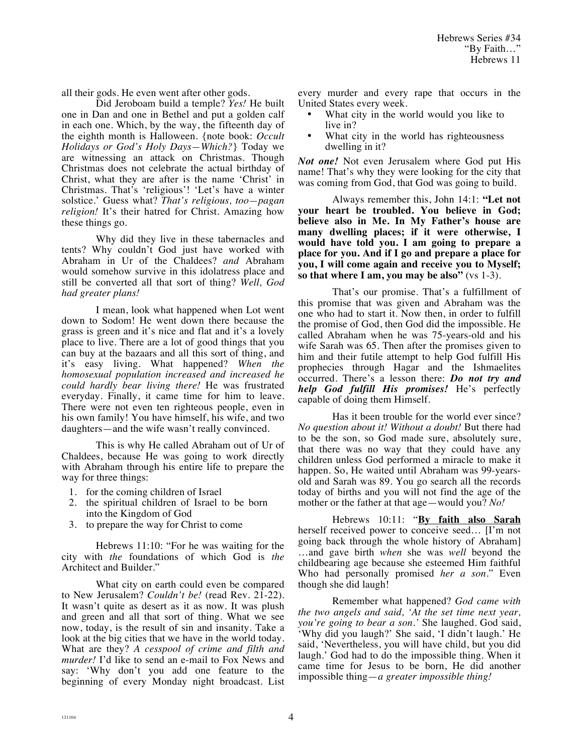all their gods. He even went after other gods.

Did Jeroboam build a temple? *Yes!* He built one in Dan and one in Bethel and put a golden calf in each one. Which, by the way, the fifteenth day of the eighth month is Halloween. {note book: *Occult Holidays or God's Holy Days—Which?*} Today we are witnessing an attack on Christmas. Though Christmas does not celebrate the actual birthday of Christ, what they are after is the name 'Christ' in Christmas. That's 'religious'! 'Let's have a winter solstice.' Guess what? *That's religious, too—pagan religion!* It's their hatred for Christ. Amazing how these things go.

Why did they live in these tabernacles and tents? Why couldn't God just have worked with Abraham in Ur of the Chaldees? *and* Abraham would somehow survive in this idolatress place and still be converted all that sort of thing? *Well, God had greater plans!*

I mean, look what happened when Lot went down to Sodom! He went down there because the grass is green and it's nice and flat and it's a lovely place to live. There are a lot of good things that you can buy at the bazaars and all this sort of thing, and it's easy living. What happened? *When the homosexual population increased and increased he could hardly bear living there!* He was frustrated everyday. Finally, it came time for him to leave. There were not even ten righteous people, even in his own family! You have himself, his wife, and two daughters—and the wife wasn't really convinced.

This is why He called Abraham out of Ur of Chaldees, because He was going to work directly with Abraham through his entire life to prepare the way for three things:

- 1. for the coming children of Israel
- 2. the spiritual children of Israel to be born into the Kingdom of God
- 3. to prepare the way for Christ to come

Hebrews 11:10: "For he was waiting for the city with *the* foundations of which God is *the* Architect and Builder."

What city on earth could even be compared to New Jerusalem? *Couldn't be!* (read Rev. 21-22). It wasn't quite as desert as it as now. It was plush and green and all that sort of thing. What we see now, today, is the result of sin and insanity. Take a look at the big cities that we have in the world today. What are they? *A cesspool of crime and filth and murder!* I'd like to send an e-mail to Fox News and say: 'Why don't you add one feature to the beginning of every Monday night broadcast. List every murder and every rape that occurs in the United States every week.

- What city in the world would you like to live in?
- What city in the world has righteousness dwelling in it?

*Not one!* Not even Jerusalem where God put His name! That's why they were looking for the city that was coming from God, that God was going to build.

Always remember this, John 14:1: **"Let not your heart be troubled. You believe in God; believe also in Me. In My Father's house are many dwelling places; if it were otherwise, I would have told you. I am going to prepare a place for you. And if I go and prepare a place for you, I will come again and receive you to Myself; so that where I am, you may be also"** (vs 1-3).

That's our promise. That's a fulfillment of this promise that was given and Abraham was the one who had to start it. Now then, in order to fulfill the promise of God, then God did the impossible. He called Abraham when he was 75-years-old and his wife Sarah was 65. Then after the promises given to him and their futile attempt to help God fulfill His prophecies through Hagar and the Ishmaelites occurred. There's a lesson there: *Do not try and help God fulfill His promises!* He's perfectly capable of doing them Himself.

Has it been trouble for the world ever since? *No question about it! Without a doubt!* But there had to be the son, so God made sure, absolutely sure, that there was no way that they could have any children unless God performed a miracle to make it happen. So, He waited until Abraham was 99-yearsold and Sarah was 89. You go search all the records today of births and you will not find the age of the mother or the father at that age—would you? *No!*

Hebrews 10:11: "**By faith also Sarah** herself received power to conceive seed… [I'm not going back through the whole history of Abraham] …and gave birth *when* she was *well* beyond the childbearing age because she esteemed Him faithful Who had personally promised *her a son*." Even though she did laugh!

Remember what happened? *God came with the two angels and said, 'At the set time next year, you're going to bear a son.'* She laughed. God said, 'Why did you laugh?' She said, 'I didn't laugh.' He said, 'Nevertheless, you will have child, but you did laugh.' God had to do the impossible thing. When it came time for Jesus to be born, He did another impossible thing—*a greater impossible thing!*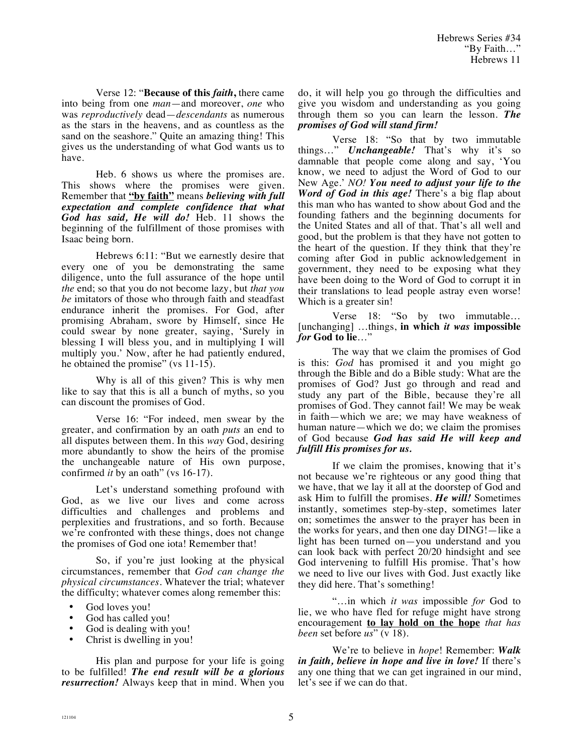Verse 12: "**Because of this** *faith***,** there came into being from one *man*—and moreover, *one* who was *reproductively* dead—*descendants* as numerous as the stars in the heavens, and as countless as the sand on the seashore." Quite an amazing thing! This gives us the understanding of what God wants us to have.

Heb. 6 shows us where the promises are. This shows where the promises were given. Remember that **"by faith"** means *believing with full expectation and complete confidence that what God has said, He will do!* Heb. 11 shows the beginning of the fulfillment of those promises with Isaac being born.

Hebrews 6:11: "But we earnestly desire that every one of you be demonstrating the same diligence, unto the full assurance of the hope until *the* end; so that you do not become lazy, but *that you be* imitators of those who through faith and steadfast endurance inherit the promises. For God, after promising Abraham, swore by Himself, since He could swear by none greater, saying, 'Surely in blessing I will bless you, and in multiplying I will multiply you.' Now, after he had patiently endured, he obtained the promise" (vs 11-15).

Why is all of this given? This is why men like to say that this is all a bunch of myths, so you can discount the promises of God.

Verse 16: "For indeed, men swear by the greater, and confirmation by an oath *puts* an end to all disputes between them. In this *way* God, desiring more abundantly to show the heirs of the promise the unchangeable nature of His own purpose, confirmed *it* by an oath" (vs 16-17).

Let's understand something profound with God, as we live our lives and come across difficulties and challenges and problems and perplexities and frustrations, and so forth. Because we're confronted with these things, does not change the promises of God one iota! Remember that!

So, if you're just looking at the physical circumstances, remember that *God can change the physical circumstances.* Whatever the trial; whatever the difficulty; whatever comes along remember this:

- God loves you!<br>• God has called
- God has called you!<br>• God is dealing with
- God is dealing with you!
- Christ is dwelling in you!

His plan and purpose for your life is going to be fulfilled! *The end result will be a glorious resurrection!* Always keep that in mind. When you do, it will help you go through the difficulties and give you wisdom and understanding as you going through them so you can learn the lesson. *The promises of God will stand firm!*

Verse 18: "So that by two immutable things…" *Unchangeable!* That's why it's so damnable that people come along and say, 'You know, we need to adjust the Word of God to our New Age.' *NO! You need to adjust your life to the Word of God in this age!* There's a big flap about this man who has wanted to show about God and the founding fathers and the beginning documents for the United States and all of that. That's all well and good, but the problem is that they have not gotten to the heart of the question. If they think that they're coming after God in public acknowledgement in government, they need to be exposing what they have been doing to the Word of God to corrupt it in their translations to lead people astray even worse! Which is a greater sin!

Verse 18: "So by two immutable… [unchanging] …things, **in which** *it was* **impossible**  *for* **God to lie**…"

The way that we claim the promises of God is this: *God* has promised it and you might go through the Bible and do a Bible study: What are the promises of God? Just go through and read and study any part of the Bible, because they're all promises of God. They cannot fail! We may be weak in faith—which we are; we may have weakness of human nature—which we do; we claim the promises of God because *God has said He will keep and fulfill His promises for us.*

If we claim the promises, knowing that it's not because we're righteous or any good thing that we have, that we lay it all at the doorstep of God and ask Him to fulfill the promises. *He will!* Sometimes instantly, sometimes step-by-step, sometimes later on; sometimes the answer to the prayer has been in the works for years, and then one day DING!—like a light has been turned on—you understand and you can look back with perfect 20/20 hindsight and see God intervening to fulfill His promise. That's how we need to live our lives with God. Just exactly like they did here. That's something!

"…in which *it was* impossible *for* God to lie, we who have fled for refuge might have strong encouragement **to lay hold on the hope** *that has been* set before *us*" (v 18).

We're to believe in *hope*! Remember: *Walk in faith, believe in hope and live in love!* If there's any one thing that we can get ingrained in our mind, let's see if we can do that.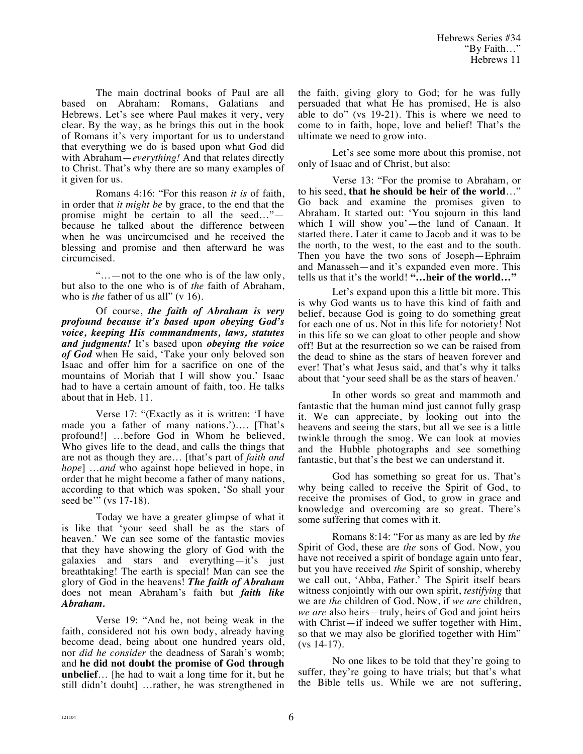The main doctrinal books of Paul are all based on Abraham: Romans, Galatians and Hebrews. Let's see where Paul makes it very, very clear. By the way, as he brings this out in the book of Romans it's very important for us to understand that everything we do is based upon what God did with Abraham—*everything!* And that relates directly to Christ. That's why there are so many examples of it given for us.

Romans 4:16: "For this reason *it is* of faith, in order that *it might be* by grace, to the end that the promise might be certain to all the seed…" because he talked about the difference between when he was uncircumcised and he received the blessing and promise and then afterward he was circumcised.

"…—not to the one who is of the law only, but also to the one who is of *the* faith of Abraham, who is *the* father of us all" (v 16).

Of course, *the faith of Abraham is very profound because it's based upon obeying God's voice, keeping His commandments, laws, statutes and judgments!* It's based upon *obeying the voice of God* when He said, 'Take your only beloved son Isaac and offer him for a sacrifice on one of the mountains of Moriah that I will show you.' Isaac had to have a certain amount of faith, too. He talks about that in Heb. 11.

Verse 17: "(Exactly as it is written: 'I have made you a father of many nations.')…. [That's profound!] …before God in Whom he believed, Who gives life to the dead, and calls the things that are not as though they are… [that's part of *faith and hope*] …*and* who against hope believed in hope, in order that he might become a father of many nations, according to that which was spoken, 'So shall your seed be'" (vs 17-18).

Today we have a greater glimpse of what it is like that 'your seed shall be as the stars of heaven.' We can see some of the fantastic movies that they have showing the glory of God with the galaxies and stars and everything—it's just breathtaking! The earth is special! Man can see the glory of God in the heavens! *The faith of Abraham* does not mean Abraham's faith but *faith like Abraham.*

Verse 19: "And he, not being weak in the faith, considered not his own body, already having become dead, being about one hundred years old, nor *did he consider* the deadness of Sarah's womb; and **he did not doubt the promise of God through unbelief**… [he had to wait a long time for it, but he still didn't doubt] …rather, he was strengthened in the faith, giving glory to God; for he was fully persuaded that what He has promised, He is also able to do" (vs 19-21). This is where we need to come to in faith, hope, love and belief! That's the ultimate we need to grow into.

Let's see some more about this promise, not only of Isaac and of Christ, but also:

Verse 13: "For the promise to Abraham, or to his seed, **that he should be heir of the world**…" Go back and examine the promises given to Abraham. It started out: 'You sojourn in this land which I will show you'—the land of Canaan. It started there. Later it came to Jacob and it was to be the north, to the west, to the east and to the south. Then you have the two sons of Joseph—Ephraim and Manasseh—and it's expanded even more. This tells us that it's the world! **"…heir of the world…"**

Let's expand upon this a little bit more. This is why God wants us to have this kind of faith and belief, because God is going to do something great for each one of us. Not in this life for notoriety! Not in this life so we can gloat to other people and show off! But at the resurrection so we can be raised from the dead to shine as the stars of heaven forever and ever! That's what Jesus said, and that's why it talks about that 'your seed shall be as the stars of heaven.'

In other words so great and mammoth and fantastic that the human mind just cannot fully grasp it. We can appreciate, by looking out into the heavens and seeing the stars, but all we see is a little twinkle through the smog. We can look at movies and the Hubble photographs and see something fantastic, but that's the best we can understand it.

God has something so great for us. That's why being called to receive the Spirit of God, to receive the promises of God, to grow in grace and knowledge and overcoming are so great. There's some suffering that comes with it.

Romans 8:14: "For as many as are led by *the* Spirit of God, these are *the* sons of God. Now, you have not received a spirit of bondage again unto fear, but you have received *the* Spirit of sonship, whereby we call out, 'Abba, Father.' The Spirit itself bears witness conjointly with our own spirit, *testifying* that we are *the* children of God. Now, if *we are* children, *we are* also heirs—truly, heirs of God and joint heirs with Christ—if indeed we suffer together with Him, so that we may also be glorified together with Him" (vs 14-17).

No one likes to be told that they're going to suffer, they're going to have trials; but that's what the Bible tells us. While we are not suffering,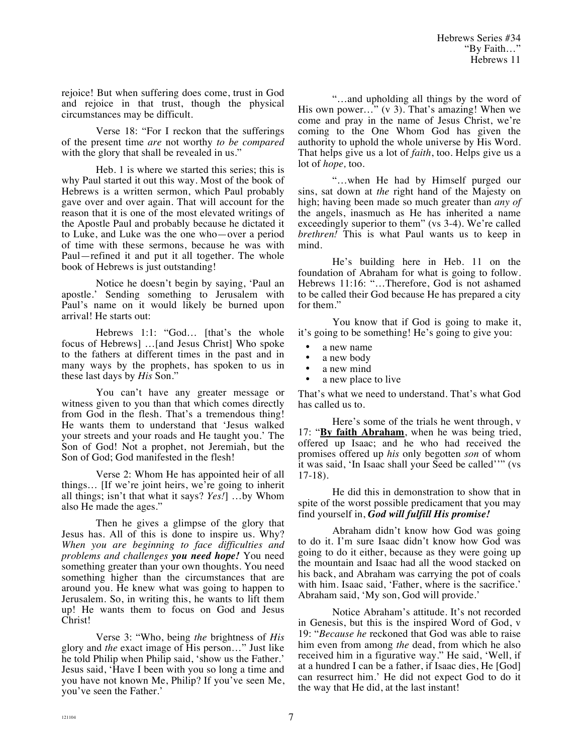rejoice! But when suffering does come, trust in God and rejoice in that trust, though the physical circumstances may be difficult.

Verse 18: "For I reckon that the sufferings of the present time *are* not worthy *to be compared* with the glory that shall be revealed in us."

Heb. 1 is where we started this series; this is why Paul started it out this way. Most of the book of Hebrews is a written sermon, which Paul probably gave over and over again. That will account for the reason that it is one of the most elevated writings of the Apostle Paul and probably because he dictated it to Luke, and Luke was the one who—over a period of time with these sermons, because he was with Paul—refined it and put it all together. The whole book of Hebrews is just outstanding!

Notice he doesn't begin by saying, 'Paul an apostle.' Sending something to Jerusalem with Paul's name on it would likely be burned upon arrival! He starts out:

Hebrews 1:1: "God... [that's the whole focus of Hebrews] …[and Jesus Christ] Who spoke to the fathers at different times in the past and in many ways by the prophets, has spoken to us in these last days by *His* Son."

You can't have any greater message or witness given to you than that which comes directly from God in the flesh. That's a tremendous thing! He wants them to understand that 'Jesus walked your streets and your roads and He taught you.' The Son of God! Not a prophet, not Jeremiah, but the Son of God; God manifested in the flesh!

Verse 2: Whom He has appointed heir of all things… [If we're joint heirs, we're going to inherit all things; isn't that what it says? *Yes!*] …by Whom also He made the ages."

Then he gives a glimpse of the glory that Jesus has. All of this is done to inspire us. Why? *When you are beginning to face difficulties and problems and challenges you need hope!* You need something greater than your own thoughts. You need something higher than the circumstances that are around you. He knew what was going to happen to Jerusalem. So, in writing this, he wants to lift them up! He wants them to focus on God and Jesus Christ!

Verse 3: "Who, being *the* brightness of *His* glory and *the* exact image of His person…" Just like he told Philip when Philip said, 'show us the Father.' Jesus said, 'Have I been with you so long a time and you have not known Me, Philip? If you've seen Me, you've seen the Father.'

"…and upholding all things by the word of His own power..." (v 3). That's amazing! When we come and pray in the name of Jesus Christ, we're coming to the One Whom God has given the authority to uphold the whole universe by His Word. That helps give us a lot of *faith*, too. Helps give us a lot of *hope,* too.

"…when He had by Himself purged our sins, sat down at *the* right hand of the Majesty on high; having been made so much greater than *any of* the angels, inasmuch as He has inherited a name exceedingly superior to them" (vs 3-4). We're called *brethren!* This is what Paul wants us to keep in mind.

He's building here in Heb. 11 on the foundation of Abraham for what is going to follow. Hebrews 11:16: "…Therefore, God is not ashamed to be called their God because He has prepared a city for them."

You know that if God is going to make it, it's going to be something! He's going to give you:

- 
- a new name<br>• a new body
- a new body<br>• a new mind a new mind
- a new place to live

That's what we need to understand. That's what God has called us to.

Here's some of the trials he went through, v 17: "**By faith Abraham**, when he was being tried, offered up Isaac; and he who had received the promises offered up *his* only begotten *son* of whom it was said, 'In Isaac shall your Seed be called''" (vs 17-18).

He did this in demonstration to show that in spite of the worst possible predicament that you may find yourself in, *God will fulfill His promise!*

Abraham didn't know how God was going to do it. I'm sure Isaac didn't know how God was going to do it either, because as they were going up the mountain and Isaac had all the wood stacked on his back, and Abraham was carrying the pot of coals with him. Isaac said, 'Father, where is the sacrifice.' Abraham said, 'My son, God will provide.'

Notice Abraham's attitude. It's not recorded in Genesis, but this is the inspired Word of God, v 19: "*Because he* reckoned that God was able to raise him even from among *the* dead, from which he also received him in a figurative way." He said, 'Well, if at a hundred I can be a father, if Isaac dies, He [God] can resurrect him.' He did not expect God to do it the way that He did, at the last instant!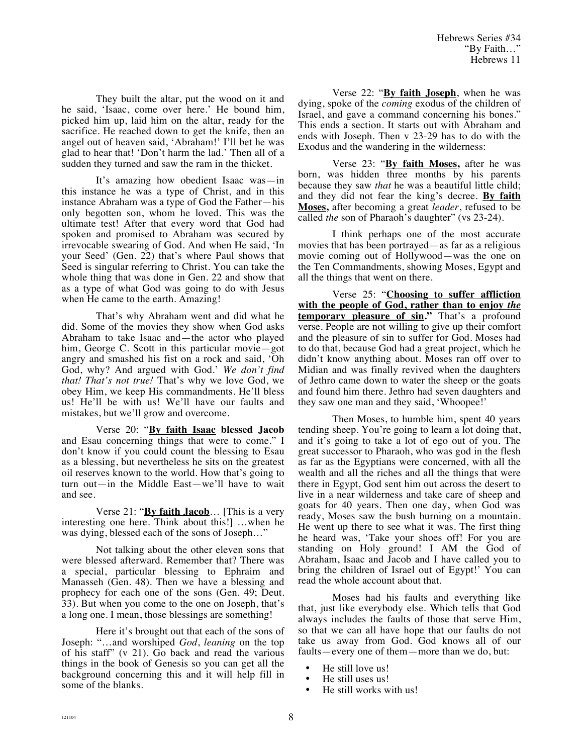They built the altar, put the wood on it and he said, 'Isaac, come over here.' He bound him, picked him up, laid him on the altar, ready for the sacrifice. He reached down to get the knife, then an angel out of heaven said, 'Abraham!' I'll bet he was glad to hear that! 'Don't harm the lad.' Then all of a sudden they turned and saw the ram in the thicket.

It's amazing how obedient Isaac was—in this instance he was a type of Christ, and in this instance Abraham was a type of God the Father—his only begotten son, whom he loved. This was the ultimate test! After that every word that God had spoken and promised to Abraham was secured by irrevocable swearing of God. And when He said, 'In your Seed' (Gen. 22) that's where Paul shows that Seed is singular referring to Christ. You can take the whole thing that was done in Gen. 22 and show that as a type of what God was going to do with Jesus when He came to the earth. Amazing!

That's why Abraham went and did what he did. Some of the movies they show when God asks Abraham to take Isaac and—the actor who played him, George C. Scott in this particular movie—got angry and smashed his fist on a rock and said, 'Oh God, why? And argued with God.' *We don't find that! That's not true!* That's why we love God, we obey Him, we keep His commandments. He'll bless us! He'll be with us! We'll have our faults and mistakes, but we'll grow and overcome.

Verse 20: "**By faith Isaac blessed Jacob** and Esau concerning things that were to come." I don't know if you could count the blessing to Esau as a blessing, but nevertheless he sits on the greatest oil reserves known to the world. How that's going to turn out—in the Middle East—we'll have to wait and see.

Verse 21: "**By faith Jacob**… [This is a very interesting one here. Think about this!] …when he was dying, blessed each of the sons of Joseph…"

Not talking about the other eleven sons that were blessed afterward. Remember that? There was a special, particular blessing to Ephraim and Manasseh (Gen. 48). Then we have a blessing and prophecy for each one of the sons (Gen. 49; Deut. 33). But when you come to the one on Joseph, that's a long one. I mean, those blessings are something!

Here it's brought out that each of the sons of Joseph: "…and worshiped *God*, *leaning* on the top of his staff" (v 21). Go back and read the various things in the book of Genesis so you can get all the background concerning this and it will help fill in some of the blanks.

Verse 22: "**By faith Joseph**, when he was dying, spoke of the *coming* exodus of the children of Israel, and gave a command concerning his bones." This ends a section. It starts out with Abraham and ends with Joseph. Then v 23-29 has to do with the Exodus and the wandering in the wilderness:

Verse 23: "**By faith Moses,** after he was born, was hidden three months by his parents because they saw *that* he was a beautiful little child; and they did not fear the king's decree. **By faith Moses,** after becoming a great *leader*, refused to be called *the* son of Pharaoh's daughter" (vs 23-24).

I think perhaps one of the most accurate movies that has been portrayed—as far as a religious movie coming out of Hollywood—was the one on the Ten Commandments, showing Moses, Egypt and all the things that went on there.

Verse 25: "**Choosing to suffer affliction with the people of God, rather than to enjoy** *the* **temporary pleasure of sin."** That's a profound verse. People are not willing to give up their comfort and the pleasure of sin to suffer for God. Moses had to do that, because God had a great project, which he didn't know anything about. Moses ran off over to Midian and was finally revived when the daughters of Jethro came down to water the sheep or the goats and found him there. Jethro had seven daughters and they saw one man and they said, 'Whoopee!'

Then Moses, to humble him, spent 40 years tending sheep. You're going to learn a lot doing that, and it's going to take a lot of ego out of you. The great successor to Pharaoh, who was god in the flesh as far as the Egyptians were concerned, with all the wealth and all the riches and all the things that were there in Egypt, God sent him out across the desert to live in a near wilderness and take care of sheep and goats for 40 years. Then one day, when God was ready, Moses saw the bush burning on a mountain. He went up there to see what it was. The first thing he heard was, 'Take your shoes off! For you are standing on Holy ground! I AM the God of Abraham, Isaac and Jacob and I have called you to bring the children of Israel out of Egypt!' You can read the whole account about that.

Moses had his faults and everything like that, just like everybody else. Which tells that God always includes the faults of those that serve Him, so that we can all have hope that our faults do not take us away from God. God knows all of our faults—every one of them—more than we do, but:

- He still love us!
- He still uses us!<br>• He still works w
- He still works with us!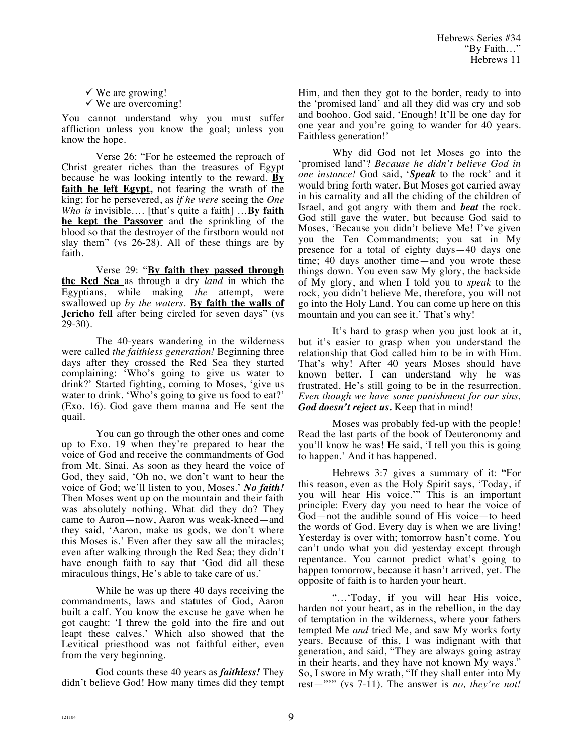Hebrews Series #34 "By Faith…" Hebrews 11

 $\checkmark$  We are growing!  $\checkmark$  We are overcoming!

You cannot understand why you must suffer affliction unless you know the goal; unless you know the hope.

Verse 26: "For he esteemed the reproach of Christ greater riches than the treasures of Egypt because he was looking intently to the reward. **By faith he left Egypt,** not fearing the wrath of the king; for he persevered, as *if he were* seeing the *One Who is* invisible…. [that's quite a faith] …**By faith he kept the Passover** and the sprinkling of the blood so that the destroyer of the firstborn would not slay them" (vs 26-28). All of these things are by faith.

Verse 29: "**By faith they passed through the Red Sea** as through a dry *land* in which the Egyptians, while making *the* attempt, were swallowed up *by the waters*. **By faith the walls of Jericho fell** after being circled for seven days" (vs 29-30).

The 40-years wandering in the wilderness were called *the faithless generation!* Beginning three days after they crossed the Red Sea they started complaining: 'Who's going to give us water to drink?' Started fighting, coming to Moses, 'give us water to drink. 'Who's going to give us food to eat?' (Exo. 16). God gave them manna and He sent the quail.

You can go through the other ones and come up to Exo. 19 when they're prepared to hear the voice of God and receive the commandments of God from Mt. Sinai. As soon as they heard the voice of God, they said, 'Oh no, we don't want to hear the voice of God; we'll listen to you, Moses.' *No faith!* Then Moses went up on the mountain and their faith was absolutely nothing. What did they do? They came to Aaron—now, Aaron was weak-kneed—and they said, 'Aaron, make us gods, we don't where this Moses is.' Even after they saw all the miracles; even after walking through the Red Sea; they didn't have enough faith to say that 'God did all these miraculous things, He's able to take care of us.'

While he was up there 40 days receiving the commandments, laws and statutes of God, Aaron built a calf. You know the excuse he gave when he got caught: 'I threw the gold into the fire and out leapt these calves.' Which also showed that the Levitical priesthood was not faithful either, even from the very beginning.

God counts these 40 years as *faithless!* They didn't believe God! How many times did they tempt Him, and then they got to the border, ready to into the 'promised land' and all they did was cry and sob and boohoo. God said, 'Enough! It'll be one day for one year and you're going to wander for 40 years. Faithless generation!'

Why did God not let Moses go into the 'promised land'? *Because he didn't believe God in one instance!* God said, '*Speak* to the rock' and it would bring forth water. But Moses got carried away in his carnality and all the chiding of the children of Israel, and got angry with them and *beat* the rock. God still gave the water, but because God said to Moses, 'Because you didn't believe Me! I've given you the Ten Commandments; you sat in My presence for a total of eighty days—40 days one time; 40 days another time—and you wrote these things down. You even saw My glory, the backside of My glory, and when I told you to *speak* to the rock, you didn't believe Me, therefore, you will not go into the Holy Land. You can come up here on this mountain and you can see it.' That's why!

It's hard to grasp when you just look at it, but it's easier to grasp when you understand the relationship that God called him to be in with Him. That's why! After 40 years Moses should have known better. I can understand why he was frustrated. He's still going to be in the resurrection. *Even though we have some punishment for our sins, God doesn't reject us.* Keep that in mind!

Moses was probably fed-up with the people! Read the last parts of the book of Deuteronomy and you'll know he was! He said, 'I tell you this is going to happen.' And it has happened.

Hebrews 3:7 gives a summary of it: "For this reason, even as the Holy Spirit says, 'Today, if you will hear His voice.'" This is an important principle: Every day you need to hear the voice of God—not the audible sound of His voice—to heed the words of God. Every day is when we are living! Yesterday is over with; tomorrow hasn't come. You can't undo what you did yesterday except through repentance. You cannot predict what's going to happen tomorrow, because it hasn't arrived, yet. The opposite of faith is to harden your heart.

"…'Today, if you will hear His voice, harden not your heart, as in the rebellion, in the day of temptation in the wilderness, where your fathers tempted Me *and* tried Me, and saw My works forty years. Because of this, I was indignant with that generation, and said, "They are always going astray in their hearts, and they have not known My ways." So, I swore in My wrath, "If they shall enter into My rest—"'" (vs 7-11). The answer is *no, they're not!*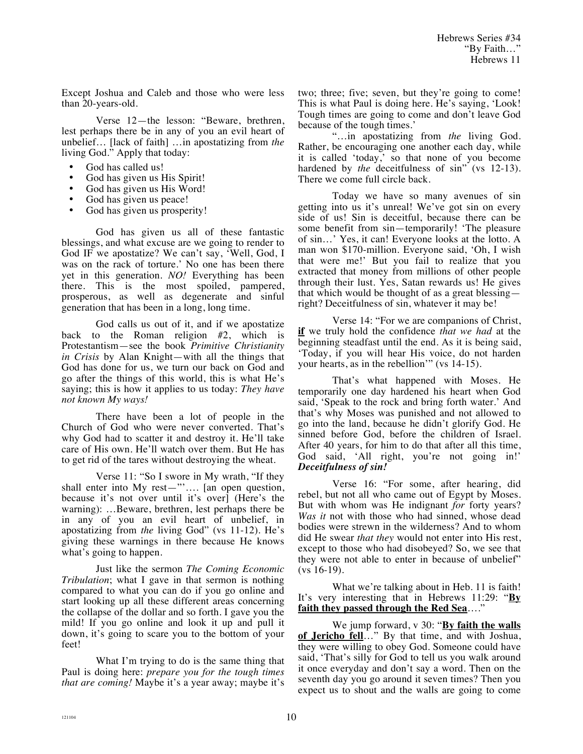Except Joshua and Caleb and those who were less than 20-years-old.

Verse 12—the lesson: "Beware, brethren, lest perhaps there be in any of you an evil heart of unbelief… [lack of faith] …in apostatizing from *the* living God." Apply that today:

- God has called us!
- God has given us His Spirit!<br>• God has given us His Word!
- God has given us His Word!
- God has given us peace!
- God has given us prosperity!

God has given us all of these fantastic blessings, and what excuse are we going to render to God IF we apostatize? We can't say, 'Well, God, I was on the rack of torture.' No one has been there yet in this generation. *NO!* Everything has been there. This is the most spoiled, pampered, prosperous, as well as degenerate and sinful generation that has been in a long, long time.

God calls us out of it, and if we apostatize back to the Roman religion #2, which is Protestantism—see the book *Primitive Christianity in Crisis* by Alan Knight—with all the things that God has done for us, we turn our back on God and go after the things of this world, this is what He's saying; this is how it applies to us today: *They have not known My ways!*

There have been a lot of people in the Church of God who were never converted. That's why God had to scatter it and destroy it. He'll take care of His own. He'll watch over them. But He has to get rid of the tares without destroying the wheat.

Verse 11: "So I swore in My wrath, "If they shall enter into My rest—"'…. [an open question, because it's not over until it's over] (Here's the warning): …Beware, brethren, lest perhaps there be in any of you an evil heart of unbelief, in apostatizing from *the* living God" (vs 11-12). He's giving these warnings in there because He knows what's going to happen.

Just like the sermon *The Coming Economic Tribulation*; what I gave in that sermon is nothing compared to what you can do if you go online and start looking up all these different areas concerning the collapse of the dollar and so forth. I gave you the mild! If you go online and look it up and pull it down, it's going to scare you to the bottom of your feet!

What I'm trying to do is the same thing that Paul is doing here: *prepare you for the tough times that are coming!* Maybe it's a year away; maybe it's two; three; five; seven, but they're going to come! This is what Paul is doing here. He's saying, 'Look! Tough times are going to come and don't leave God because of the tough times.'

"…in apostatizing from *the* living God. Rather, be encouraging one another each day, while it is called 'today,' so that none of you become hardened by *the* deceitfulness of sin" (vs 12-13). There we come full circle back.

Today we have so many avenues of sin getting into us it's unreal! We've got sin on every side of us! Sin is deceitful, because there can be some benefit from sin—temporarily! 'The pleasure of sin…' Yes, it can! Everyone looks at the lotto. A man won \$170-million. Everyone said, 'Oh, I wish that were me!' But you fail to realize that you extracted that money from millions of other people through their lust. Yes, Satan rewards us! He gives that which would be thought of as a great blessing right? Deceitfulness of sin, whatever it may be!

Verse 14: "For we are companions of Christ, **if** we truly hold the confidence *that we had* at the beginning steadfast until the end. As it is being said, 'Today, if you will hear His voice, do not harden your hearts, as in the rebellion'" (vs 14-15).

That's what happened with Moses. He temporarily one day hardened his heart when God said, 'Speak to the rock and bring forth water.' And that's why Moses was punished and not allowed to go into the land, because he didn't glorify God. He sinned before God, before the children of Israel. After 40 years, for him to do that after all this time, God said, 'All right, you're not going in!' *Deceitfulness of sin!*

Verse 16: "For some, after hearing, did rebel, but not all who came out of Egypt by Moses. But with whom was He indignant *for* forty years? *Was it* not with those who had sinned, whose dead bodies were strewn in the wilderness? And to whom did He swear *that they* would not enter into His rest, except to those who had disobeyed? So, we see that they were not able to enter in because of unbelief" (vs 16-19).

What we're talking about in Heb. 11 is faith! It's very interesting that in Hebrews 11:29: "**By faith they passed through the Red Sea**…."

We jump forward, v 30: "**By faith the walls of Jericho fell**…" By that time, and with Joshua, they were willing to obey God. Someone could have said, 'That's silly for God to tell us you walk around it once everyday and don't say a word. Then on the seventh day you go around it seven times? Then you expect us to shout and the walls are going to come